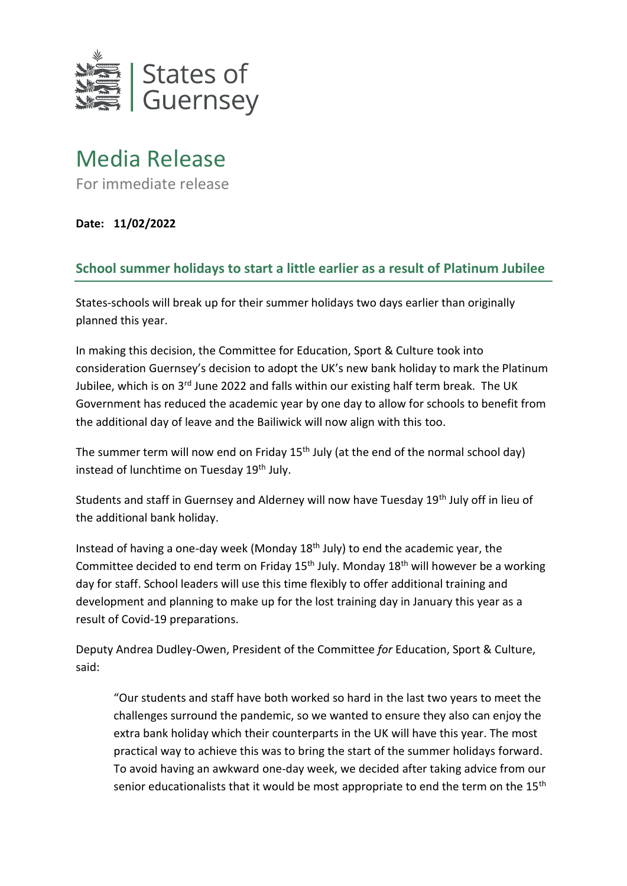

## Media Release

For immediate release

**Date: 11/02/2022**

## **School summer holidays to start a little earlier as a result of Platinum Jubilee**

States-schools will break up for their summer holidays two days earlier than originally planned this year.

In making this decision, the Committee for Education, Sport & Culture took into consideration Guernsey's decision to adopt the UK's new bank holiday to mark the Platinum Jubilee, which is on 3<sup>rd</sup> June 2022 and falls within our existing half term break. The UK Government has reduced the academic year by one day to allow for schools to benefit from the additional day of leave and the Bailiwick will now align with this too.

The summer term will now end on Friday  $15<sup>th</sup>$  July (at the end of the normal school day) instead of lunchtime on Tuesday 19<sup>th</sup> July.

Students and staff in Guernsey and Alderney will now have Tuesday 19<sup>th</sup> July off in lieu of the additional bank holiday.

Instead of having a one-day week (Monday 18th July) to end the academic year, the Committee decided to end term on Friday 15<sup>th</sup> July. Monday 18<sup>th</sup> will however be a working day for staff. School leaders will use this time flexibly to offer additional training and development and planning to make up for the lost training day in January this year as a result of Covid-19 preparations.

Deputy Andrea Dudley-Owen, President of the Committee *for* Education, Sport & Culture, said:

"Our students and staff have both worked so hard in the last two years to meet the challenges surround the pandemic, so we wanted to ensure they also can enjoy the extra bank holiday which their counterparts in the UK will have this year. The most practical way to achieve this was to bring the start of the summer holidays forward. To avoid having an awkward one-day week, we decided after taking advice from our senior educationalists that it would be most appropriate to end the term on the 15<sup>th</sup>